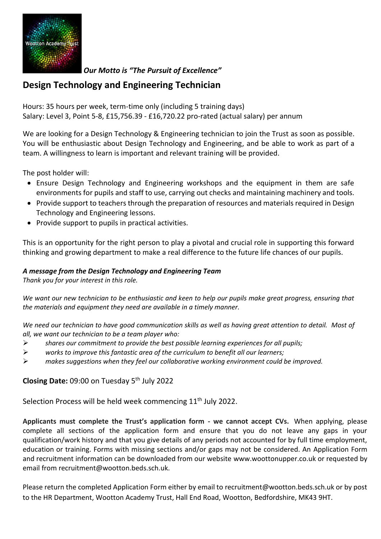

*Our Motto is "The Pursuit of Excellence"*

## **Design Technology and Engineering Technician**

Hours: 35 hours per week, term-time only (including 5 training days) Salary: Level 3, Point 5-8, £15,756.39 - £16,720.22 pro-rated (actual salary) per annum

We are looking for a Design Technology & Engineering technician to join the Trust as soon as possible. You will be enthusiastic about Design Technology and Engineering, and be able to work as part of a team. A willingness to learn is important and relevant training will be provided.

The post holder will:

- Ensure Design Technology and Engineering workshops and the equipment in them are safe environments for pupils and staff to use, carrying out checks and maintaining machinery and tools.
- Provide support to teachers through the preparation of resources and materials required in Design Technology and Engineering lessons.
- Provide support to pupils in practical activities.

This is an opportunity for the right person to play a pivotal and crucial role in supporting this forward thinking and growing department to make a real difference to the future life chances of our pupils.

## *A message from the Design Technology and Engineering Team*

*Thank you for your interest in this role.* 

*We want our new technician to be enthusiastic and keen to help our pupils make great progress, ensuring that the materials and equipment they need are available in a timely manner.* 

*We need our technician to have good communication skills as well as having great attention to detail. Most of all, we want our technician to be a team player who:*

- ➢ *shares our commitment to provide the best possible learning experiences for all pupils;*
- ➢ *works to improve this fantastic area of the curriculum to benefit all our learners;*
- ➢ *makes suggestions when they feel our collaborative working environment could be improved.*

**Closing Date:** 09:00 on Tuesday 5 th July 2022

Selection Process will be held week commencing 11<sup>th</sup> July 2022.

**Applicants must complete the Trust's application form - we cannot accept CVs.** When applying, please complete all sections of the application form and ensure that you do not leave any gaps in your qualification/work history and that you give details of any periods not accounted for by full time employment, education or training. Forms with missing sections and/or gaps may not be considered. An Application Form and recruitment information can be downloaded from our website [www.woottonupper.co.uk](http://www.woottonupper.co.uk/) or requested by email from recruitment@wootton.beds.sch.uk.

Please return the completed Application Form either by email to recruitment@wootton.beds.sch.uk or by post to the HR Department, Wootton Academy Trust, Hall End Road, Wootton, Bedfordshire, MK43 9HT.